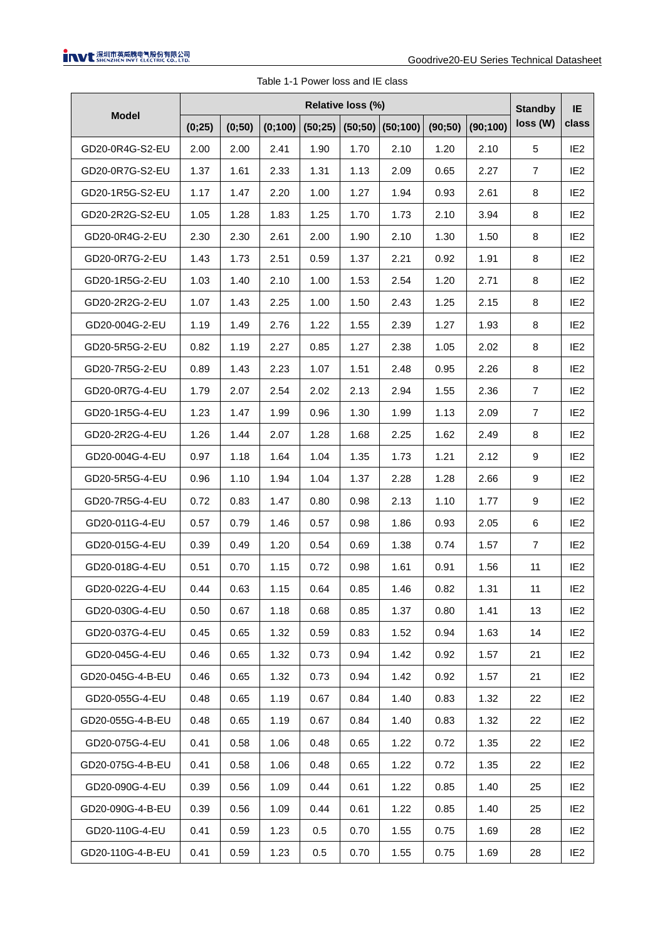| <b>Model</b>     | Relative loss (%) |        |         |      |      |                            |         |          |                            |                 |
|------------------|-------------------|--------|---------|------|------|----------------------------|---------|----------|----------------------------|-----------------|
|                  | (0;25)            | (0;50) | (0;100) |      |      | $(50;25)$ (50;50) (50;100) | (90;50) | (90;100) | <b>Standby</b><br>loss (W) | IE<br>class     |
| GD20-0R4G-S2-EU  | 2.00              | 2.00   | 2.41    | 1.90 | 1.70 | 2.10                       | 1.20    | 2.10     | 5                          | IE <sub>2</sub> |
| GD20-0R7G-S2-EU  | 1.37              | 1.61   | 2.33    | 1.31 | 1.13 | 2.09                       | 0.65    | 2.27     | $\overline{7}$             | IE <sub>2</sub> |
| GD20-1R5G-S2-EU  | 1.17              | 1.47   | 2.20    | 1.00 | 1.27 | 1.94                       | 0.93    | 2.61     | 8                          | IE <sub>2</sub> |
| GD20-2R2G-S2-EU  | 1.05              | 1.28   | 1.83    | 1.25 | 1.70 | 1.73                       | 2.10    | 3.94     | 8                          | IE <sub>2</sub> |
| GD20-0R4G-2-EU   | 2.30              | 2.30   | 2.61    | 2.00 | 1.90 | 2.10                       | 1.30    | 1.50     | 8                          | IE <sub>2</sub> |
| GD20-0R7G-2-EU   | 1.43              | 1.73   | 2.51    | 0.59 | 1.37 | 2.21                       | 0.92    | 1.91     | 8                          | IE <sub>2</sub> |
| GD20-1R5G-2-EU   | 1.03              | 1.40   | 2.10    | 1.00 | 1.53 | 2.54                       | 1.20    | 2.71     | 8                          | IE <sub>2</sub> |
| GD20-2R2G-2-EU   | 1.07              | 1.43   | 2.25    | 1.00 | 1.50 | 2.43                       | 1.25    | 2.15     | 8                          | IE <sub>2</sub> |
| GD20-004G-2-EU   | 1.19              | 1.49   | 2.76    | 1.22 | 1.55 | 2.39                       | 1.27    | 1.93     | 8                          | IE <sub>2</sub> |
| GD20-5R5G-2-EU   | 0.82              | 1.19   | 2.27    | 0.85 | 1.27 | 2.38                       | 1.05    | 2.02     | 8                          | IE <sub>2</sub> |
| GD20-7R5G-2-EU   | 0.89              | 1.43   | 2.23    | 1.07 | 1.51 | 2.48                       | 0.95    | 2.26     | 8                          | IE <sub>2</sub> |
| GD20-0R7G-4-EU   | 1.79              | 2.07   | 2.54    | 2.02 | 2.13 | 2.94                       | 1.55    | 2.36     | 7                          | IE <sub>2</sub> |
| GD20-1R5G-4-EU   | 1.23              | 1.47   | 1.99    | 0.96 | 1.30 | 1.99                       | 1.13    | 2.09     | $\overline{7}$             | IE <sub>2</sub> |
| GD20-2R2G-4-EU   | 1.26              | 1.44   | 2.07    | 1.28 | 1.68 | 2.25                       | 1.62    | 2.49     | 8                          | IE <sub>2</sub> |
| GD20-004G-4-EU   | 0.97              | 1.18   | 1.64    | 1.04 | 1.35 | 1.73                       | 1.21    | 2.12     | 9                          | IE <sub>2</sub> |
| GD20-5R5G-4-EU   | 0.96              | 1.10   | 1.94    | 1.04 | 1.37 | 2.28                       | 1.28    | 2.66     | 9                          | IE <sub>2</sub> |
| GD20-7R5G-4-EU   | 0.72              | 0.83   | 1.47    | 0.80 | 0.98 | 2.13                       | 1.10    | 1.77     | 9                          | IE <sub>2</sub> |
| GD20-011G-4-EU   | 0.57              | 0.79   | 1.46    | 0.57 | 0.98 | 1.86                       | 0.93    | 2.05     | 6                          | IE <sub>2</sub> |
| GD20-015G-4-EU   | 0.39              | 0.49   | 1.20    | 0.54 | 0.69 | 1.38                       | 0.74    | 1.57     | $\overline{7}$             | IE <sub>2</sub> |
| GD20-018G-4-EU   | 0.51              | 0.70   | 1.15    | 0.72 | 0.98 | 1.61                       | 0.91    | 1.56     | 11                         | IE <sub>2</sub> |
| GD20-022G-4-EU   | 0.44              | 0.63   | 1.15    | 0.64 | 0.85 | 1.46                       | 0.82    | 1.31     | 11                         | IE <sub>2</sub> |
| GD20-030G-4-EU   | 0.50              | 0.67   | 1.18    | 0.68 | 0.85 | 1.37                       | 0.80    | 1.41     | 13                         | IE <sub>2</sub> |
| GD20-037G-4-EU   | 0.45              | 0.65   | 1.32    | 0.59 | 0.83 | 1.52                       | 0.94    | 1.63     | 14                         | IE <sub>2</sub> |
| GD20-045G-4-EU   | 0.46              | 0.65   | 1.32    | 0.73 | 0.94 | 1.42                       | 0.92    | 1.57     | 21                         | IE <sub>2</sub> |
| GD20-045G-4-B-EU | 0.46              | 0.65   | 1.32    | 0.73 | 0.94 | 1.42                       | 0.92    | 1.57     | 21                         | IE <sub>2</sub> |
| GD20-055G-4-EU   | 0.48              | 0.65   | 1.19    | 0.67 | 0.84 | 1.40                       | 0.83    | 1.32     | 22                         | IE <sub>2</sub> |
| GD20-055G-4-B-EU | 0.48              | 0.65   | 1.19    | 0.67 | 0.84 | 1.40                       | 0.83    | 1.32     | 22                         | IE <sub>2</sub> |
| GD20-075G-4-EU   | 0.41              | 0.58   | 1.06    | 0.48 | 0.65 | 1.22                       | 0.72    | 1.35     | 22                         | IE <sub>2</sub> |
| GD20-075G-4-B-EU | 0.41              | 0.58   | 1.06    | 0.48 | 0.65 | 1.22                       | 0.72    | 1.35     | 22                         | IE <sub>2</sub> |
| GD20-090G-4-EU   | 0.39              | 0.56   | 1.09    | 0.44 | 0.61 | 1.22                       | 0.85    | 1.40     | 25                         | IE <sub>2</sub> |
| GD20-090G-4-B-EU | 0.39              | 0.56   | 1.09    | 0.44 | 0.61 | 1.22                       | 0.85    | 1.40     | 25                         | IE <sub>2</sub> |
| GD20-110G-4-EU   | 0.41              | 0.59   | 1.23    | 0.5  | 0.70 | 1.55                       | 0.75    | 1.69     | 28                         | IE <sub>2</sub> |
| GD20-110G-4-B-EU | 0.41              | 0.59   | 1.23    | 0.5  | 0.70 | 1.55                       | 0.75    | 1.69     | 28                         | IE <sub>2</sub> |

Table 1-1 Power loss and IE class